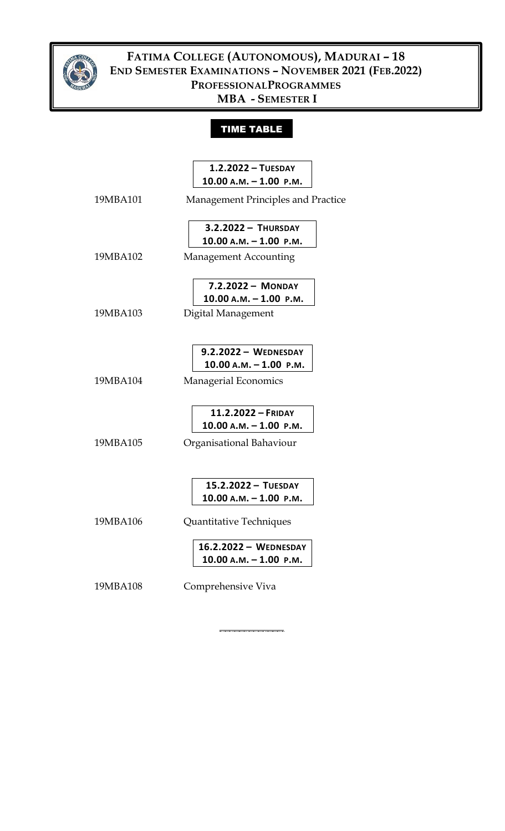

## **FATIMA COLLEGE (AUTONOMOUS), MADURAI – 18 END SEMESTER EXAMINATIONS – NOVEMBER 2021 (FEB.2022) PROFESSIONALPROGRAMMES MBA - SEMESTER I**

## TIME TABLE

|          | $1.2.2022 - TUESDAY$                                |
|----------|-----------------------------------------------------|
|          | $10.00 A.M. - 1.00 P.M.$                            |
| 19MBA101 | Management Principles and Practice                  |
|          | 3.2.2022 - THURSDAY                                 |
|          | $10.00 A.M. - 1.00 P.M.$                            |
| 19MBA102 | <b>Management Accounting</b>                        |
|          | 7.2.2022 - MONDAY                                   |
|          | $10.00 A.M. - 1.00 P.M.$                            |
| 19MBA103 | Digital Management                                  |
|          | $9.2.2022 -$ WEDNESDAY<br>$10.00$ A.M. $-1.00$ P.M. |
|          |                                                     |
| 19MBA104 | Managerial Economics                                |
|          | 11.2.2022 - FRIDAY                                  |
|          | $10.00 A.M. - 1.00 P.M.$                            |
| 19MBA105 | Organisational Bahaviour                            |
|          |                                                     |
|          | 15.2.2022 - TUESDAY                                 |
|          | $10.00 A.M. - 1.00 P.M.$                            |
| 19MBA106 | Quantitative Techniques                             |
|          | 16.2.2022 - WEDNESDAY                               |
|          | $10.00 A.M. - 1.00 P.M.$                            |
| 19MBA108 | Comprehensive Viva                                  |

**\_\_\_\_\_\_\_\_\_\_\_\_\_**